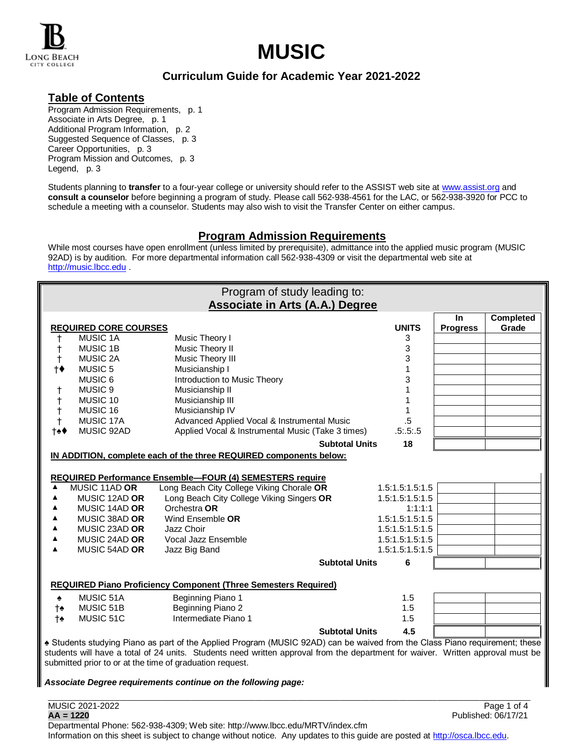

# LONG BEACH<br>CITY COLLEGE

# **Curriculum Guide for Academic Year 2021-2022**

## **Table of Contents**

Program Admission Requirements, p. 1 Associate in Arts Degree, p. 1 Additional Program Information, p. 2 Suggested Sequence of Classes, p. 3 Career Opportunities, p. 3 Program Mission and Outcomes, p. 3 Legend, p. 3

Students planning to **transfer** to a four-year college or university should refer to the ASSIST web site at [www.assist.org](http://www.assist.org/) and **consult a counselor** before beginning a program of study. Please call 562-938-4561 for the LAC, or 562-938-3920 for PCC to schedule a meeting with a counselor. Students may also wish to visit the Transfer Center on either campus.

# **Program Admission Requirements**

While most courses have open enrollment (unless limited by prerequisite), admittance into the applied music program (MUSIC 92AD) is by audition. For more departmental information call 562-938-4309 or visit the departmental web site at [http://music.lbcc.edu](http://music.lbcc.edu/)

| Program of study leading to:                                                                                                    |                              |                                                                        |                       |                 |                 |                           |  |  |  |
|---------------------------------------------------------------------------------------------------------------------------------|------------------------------|------------------------------------------------------------------------|-----------------------|-----------------|-----------------|---------------------------|--|--|--|
| <b>Associate in Arts (A.A.) Degree</b>                                                                                          |                              |                                                                        |                       |                 |                 |                           |  |  |  |
|                                                                                                                                 | <b>REQUIRED CORE COURSES</b> |                                                                        |                       | <b>UNITS</b>    | <b>In</b>       | <b>Completed</b><br>Grade |  |  |  |
| t                                                                                                                               | <b>MUSIC 1A</b>              | Music Theory I                                                         |                       | 3               | <b>Progress</b> |                           |  |  |  |
| $\ddagger$                                                                                                                      | <b>MUSIC 1B</b>              | Music Theory II                                                        |                       | 3               |                 |                           |  |  |  |
| $\ddagger$                                                                                                                      | <b>MUSIC 2A</b>              | Music Theory III                                                       |                       | 3               |                 |                           |  |  |  |
| $\dagger \bullet$                                                                                                               | MUSIC <sub>5</sub>           | Musicianship I                                                         |                       | 1               |                 |                           |  |  |  |
|                                                                                                                                 | MUSIC 6                      | Introduction to Music Theory                                           |                       | 3               |                 |                           |  |  |  |
| t                                                                                                                               | MUSIC <sub>9</sub>           | Musicianship II                                                        |                       | 1               |                 |                           |  |  |  |
| $^\dagger$                                                                                                                      | MUSIC 10                     | Musicianship III                                                       |                       | 1               |                 |                           |  |  |  |
| $^\dagger$                                                                                                                      | MUSIC 16                     | Musicianship IV                                                        |                       | 1               |                 |                           |  |  |  |
| $\ddagger$                                                                                                                      | MUSIC 17A                    | Advanced Applied Vocal & Instrumental Music                            |                       | $.5\,$          |                 |                           |  |  |  |
| †≙♦                                                                                                                             | MUSIC 92AD                   | Applied Vocal & Instrumental Music (Take 3 times)                      |                       | .5:5:5          |                 |                           |  |  |  |
|                                                                                                                                 |                              |                                                                        | <b>Subtotal Units</b> | 18              |                 |                           |  |  |  |
| IN ADDITION, complete each of the three REQUIRED components below:                                                              |                              |                                                                        |                       |                 |                 |                           |  |  |  |
|                                                                                                                                 |                              |                                                                        |                       |                 |                 |                           |  |  |  |
|                                                                                                                                 |                              | <b>REQUIRED Performance Ensemble-FOUR (4) SEMESTERS require</b>        |                       |                 |                 |                           |  |  |  |
| ▲                                                                                                                               | MUSIC 11AD OR                | Long Beach City College Viking Chorale OR                              |                       | 1.5:1.5:1.5:1.5 |                 |                           |  |  |  |
| ▲                                                                                                                               | MUSIC 12AD OR                | Long Beach City College Viking Singers OR                              |                       | 1.5:1.5:1.5:1.5 |                 |                           |  |  |  |
| ▲                                                                                                                               | MUSIC 14AD OR                | Orchestra OR                                                           |                       | 1:1:1:1         |                 |                           |  |  |  |
| ▲                                                                                                                               | MUSIC 38AD OR                | Wind Ensemble OR                                                       |                       | 1.5:1.5:1.5:1.5 |                 |                           |  |  |  |
| ▲                                                                                                                               | MUSIC 23AD OR                | Jazz Choir                                                             |                       | 1.5:1.5:1.5:1.5 |                 |                           |  |  |  |
| ▲                                                                                                                               | MUSIC 24AD OR                | Vocal Jazz Ensemble                                                    |                       | 1.5:1.5:1.5:1.5 |                 |                           |  |  |  |
| ▲                                                                                                                               | MUSIC 54AD OR                | Jazz Big Band                                                          |                       | 1.5:1.5:1.5:1.5 |                 |                           |  |  |  |
|                                                                                                                                 |                              |                                                                        | <b>Subtotal Units</b> | 6               |                 |                           |  |  |  |
|                                                                                                                                 |                              | <b>REQUIRED Piano Proficiency Component (Three Semesters Required)</b> |                       |                 |                 |                           |  |  |  |
| ۰                                                                                                                               | MUSIC 51A                    | Beginning Piano 1                                                      |                       | 1.5             |                 |                           |  |  |  |
| †♠                                                                                                                              | MUSIC 51B                    | Beginning Piano 2                                                      |                       | 1.5             |                 |                           |  |  |  |
| †♠                                                                                                                              | MUSIC 51C                    | Intermediate Piano 1                                                   |                       | 1.5             |                 |                           |  |  |  |
|                                                                                                                                 |                              |                                                                        | <b>Subtotal Units</b> | 4.5             |                 |                           |  |  |  |
| ▲ Students studying Piano as part of the Applied Program (MUSIC 92AD) can be waived from the Class Piano requirement; these     |                              |                                                                        |                       |                 |                 |                           |  |  |  |
| students will have a total of 24 units. Students need written approval from the department for waiver. Written approval must be |                              |                                                                        |                       |                 |                 |                           |  |  |  |
| submitted prior to or at the time of graduation request.                                                                        |                              |                                                                        |                       |                 |                 |                           |  |  |  |
|                                                                                                                                 |                              |                                                                        |                       |                 |                 |                           |  |  |  |
|                                                                                                                                 |                              | Associate Degree requirements continue on the following page:          |                       |                 |                 |                           |  |  |  |
|                                                                                                                                 |                              |                                                                        |                       |                 |                 |                           |  |  |  |

Departmental Phone: 562-938-4309; Web site: http://www.lbcc.edu/MRTV/index.cfm Information on this sheet is subject to change without notice. Any updates to this guide are posted a[t http://osca.lbcc.edu.](http://osca.lbcc.edu/)

MUSIC 2021-2022 Page 1 of 4 **AA = 1220** Published: 06/17/21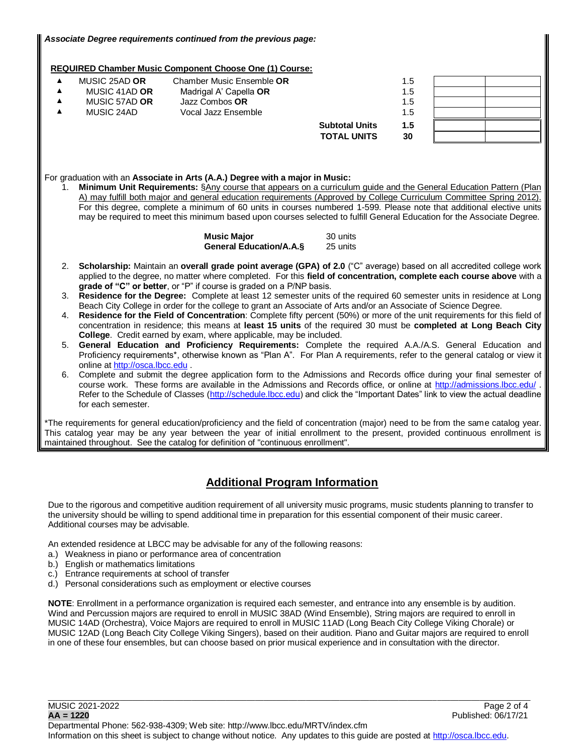## **REQUIRED Chamber Music Component Choose One (1) Course:**

| MUSIC 25AD OR | Chamber Music Ensemble OR |                       | 1.5 |  |
|---------------|---------------------------|-----------------------|-----|--|
| MUSIC 41AD OR | Madrigal A' Capella OR    |                       | 1.5 |  |
| MUSIC 57AD OR | Jazz Combos OR            |                       | 1.5 |  |
| MUSIC 24AD    | Vocal Jazz Ensemble       |                       | 1.5 |  |
|               |                           | <b>Subtotal Units</b> | 1.5 |  |
|               |                           | <b>TOTAL UNITS</b>    | 30  |  |

#### For graduation with an **Associate in Arts (A.A.) Degree with a major in Music:**

1. **Minimum Unit Requirements:** §Any course that appears on a curriculum guide and the General Education Pattern (Plan A) may fulfill both major and general education requirements (Approved by College Curriculum Committee Spring 2012). For this degree, complete a minimum of 60 units in courses numbered 1-599. Please note that additional elective units may be required to meet this minimum based upon courses selected to fulfill General Education for the Associate Degree.

| <b>Music Major</b>              | 30 units |
|---------------------------------|----------|
| <b>General Education/A.A.S.</b> | 25 units |

- 2. **Scholarship:** Maintain an **overall grade point average (GPA) of 2.0** ("C" average) based on all accredited college work applied to the degree, no matter where completed. For this **field of concentration, complete each course above** with a **grade of "C" or better**, or "P" if course is graded on a P/NP basis.
- 3. **Residence for the Degree:** Complete at least 12 semester units of the required 60 semester units in residence at Long Beach City College in order for the college to grant an Associate of Arts and/or an Associate of Science Degree.
- 4. **Residence for the Field of Concentration**: Complete fifty percent (50%) or more of the unit requirements for this field of concentration in residence; this means at **least 15 units** of the required 30 must be **completed at Long Beach City College**. Credit earned by exam, where applicable, may be included.
- 5. **General Education and Proficiency Requirements:** Complete the required A.A./A.S. General Education and Proficiency requirements\*, otherwise known as "Plan A". For Plan A requirements, refer to the general catalog or view it online a[t http://osca.lbcc.edu](http://osca.lbcc.edu/) .
- 6. Complete and submit the degree application form to the Admissions and Records office during your final semester of course work. These forms are available in the Admissions and Records office, or online at<http://admissions.lbcc.edu/> . Refer to the Schedule of Classes [\(http://schedule.lbcc.edu\)](http://schedule.lbcc.edu/) and click the "Important Dates" link to view the actual deadline for each semester.

\*The requirements for general education/proficiency and the field of concentration (major) need to be from the same catalog year. This catalog year may be any year between the year of initial enrollment to the present, provided continuous enrollment is maintained throughout. See the catalog for definition of "continuous enrollment".

# **Additional Program Information**

Due to the rigorous and competitive audition requirement of all university music programs, music students planning to transfer to the university should be willing to spend additional time in preparation for this essential component of their music career. Additional courses may be advisable.

An extended residence at LBCC may be advisable for any of the following reasons:

- a.) Weakness in piano or performance area of concentration
- b.) English or mathematics limitations
- c.) Entrance requirements at school of transfer
- d.) Personal considerations such as employment or elective courses

**NOTE**: Enrollment in a performance organization is required each semester, and entrance into any ensemble is by audition. Wind and Percussion majors are required to enroll in MUSIC 38AD (Wind Ensemble), String majors are required to enroll in MUSIC 14AD (Orchestra), Voice Majors are required to enroll in MUSIC 11AD (Long Beach City College Viking Chorale) or MUSIC 12AD (Long Beach City College Viking Singers), based on their audition. Piano and Guitar majors are required to enroll in one of these four ensembles, but can choose based on prior musical experience and in consultation with the director.

\_\_\_\_\_\_\_\_\_\_\_\_\_\_\_\_\_\_\_\_\_\_\_\_\_\_\_\_\_\_\_\_\_\_\_\_\_\_\_\_\_\_\_\_\_\_\_\_\_\_\_\_\_\_\_\_\_\_\_\_\_\_\_\_\_\_\_\_\_\_\_\_\_\_\_\_\_\_\_\_\_\_\_\_\_\_\_\_\_\_\_\_\_\_\_\_\_\_\_\_\_\_\_\_\_\_\_\_\_\_\_\_\_\_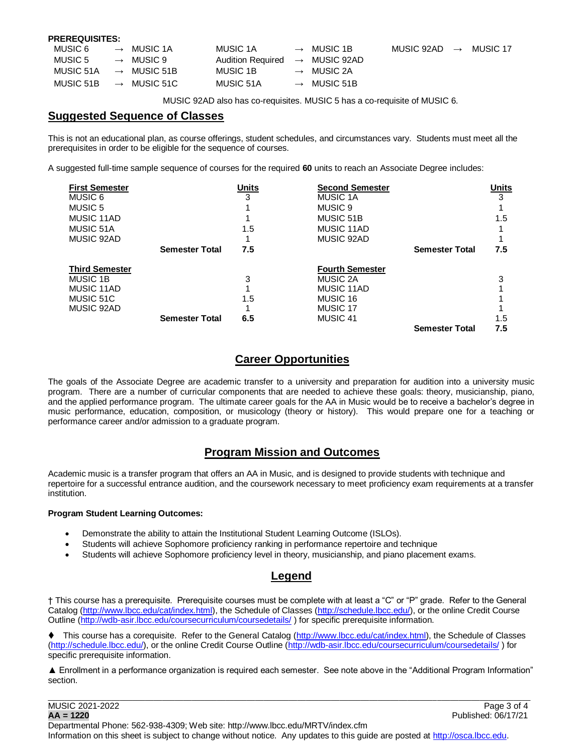#### **PREREQUISITES:**

| MUSIC 6   |               | $\rightarrow$ MUSIC 1A  | MUSIC 1A                                   | $\rightarrow$ MUSIC 1B  | MUSIC 92AD | $\longrightarrow$ | MUSIC 17 |
|-----------|---------------|-------------------------|--------------------------------------------|-------------------------|------------|-------------------|----------|
| MUSIC 5   |               | $\rightarrow$ MUSIC 9   | Audition Required $\rightarrow$ MUSIC 92AD |                         |            |                   |          |
| MUSIC 51A |               | $\rightarrow$ MUSIC 51B | MUSIC 1B                                   | $\rightarrow$ MUSIC 2A  |            |                   |          |
| MUSIC 51B | $\rightarrow$ | MUSIC 51C               | MUSIC 51A                                  | $\rightarrow$ MUSIC 51B |            |                   |          |

MUSIC 92AD also has co-requisites. MUSIC 5 has a co-requisite of MUSIC 6.

## **Suggested Sequence of Classes**

This is not an educational plan, as course offerings, student schedules, and circumstances vary. Students must meet all the prerequisites in order to be eligible for the sequence of courses.

A suggested full-time sample sequence of courses for the required **60** units to reach an Associate Degree includes:

| <b>First Semester</b> |                       | <b>Units</b> | <b>Second Semester</b> |                       | Units |
|-----------------------|-----------------------|--------------|------------------------|-----------------------|-------|
| MUSIC 6               |                       | 3            | <b>MUSIC 1A</b>        |                       | 3     |
| MUSIC 5               |                       |              | MUSIC 9                |                       |       |
| MUSIC 11AD            |                       |              | MUSIC 51B              |                       | 1.5   |
| MUSIC 51A             |                       | 1.5          | MUSIC 11AD             |                       |       |
| MUSIC 92AD            |                       |              | MUSIC 92AD             |                       |       |
|                       | <b>Semester Total</b> | 7.5          |                        | <b>Semester Total</b> | 7.5   |
| <b>Third Semester</b> |                       |              | <b>Fourth Semester</b> |                       |       |
| MUSIC 1B              |                       | 3            | MUSIC 2A               |                       | 3     |
| MUSIC 11AD            |                       |              | MUSIC 11AD             |                       |       |
| MUSIC 51C             |                       | 1.5          | MUSIC 16               |                       |       |
| MUSIC 92AD            |                       |              | MUSIC 17               |                       |       |
|                       | <b>Semester Total</b> | 6.5          | MUSIC 41               |                       | 1.5   |
|                       |                       |              |                        | <b>Semester Total</b> | 7.5   |

## **Career Opportunities**

The goals of the Associate Degree are academic transfer to a university and preparation for audition into a university music program. There are a number of curricular components that are needed to achieve these goals: theory, musicianship, piano, and the applied performance program. The ultimate career goals for the AA in Music would be to receive a bachelor's degree in music performance, education, composition, or musicology (theory or history). This would prepare one for a teaching or performance career and/or admission to a graduate program.

# **Program Mission and Outcomes**

Academic music is a transfer program that offers an AA in Music, and is designed to provide students with technique and repertoire for a successful entrance audition, and the coursework necessary to meet proficiency exam requirements at a transfer institution.

## **Program Student Learning Outcomes:**

- Demonstrate the ability to attain the Institutional Student Learning Outcome (ISLOs).
- Students will achieve Sophomore proficiency ranking in performance repertoire and technique
- Students will achieve Sophomore proficiency level in theory, musicianship, and piano placement exams.

## **Legend**

† This course has a prerequisite. Prerequisite courses must be complete with at least a "C" or "P" grade. Refer to the General Catalog [\(http://www.lbcc.edu/cat/index.html\)](http://www.lbcc.edu/cat/index.html), the Schedule of Classes [\(http://schedule.lbcc.edu/\)](http://schedule.lbcc.edu/), or the online Credit Course Outline [\(http://wdb-asir.lbcc.edu/coursecurriculum/coursedetails/](http://wdb-asir.lbcc.edu/coursecurriculum/coursedetails/) ) for specific prerequisite information.

♦ This course has a corequisite. Refer to the General Catalog [\(http://www.lbcc.edu/cat/index.html\)](http://www.lbcc.edu/cat/index.html), the Schedule of Classes [\(http://schedule.lbcc.edu/\)](http://schedule.lbcc.edu/), or the online Credit Course Outline [\(http://wdb-asir.lbcc.edu/coursecurriculum/coursedetails/](http://wdb-asir.lbcc.edu/coursecurriculum/coursedetails/) ) for specific prerequisite information.

▲ Enrollment in a performance organization is required each semester. See note above in the "Additional Program Information" section.

\_\_\_\_\_\_\_\_\_\_\_\_\_\_\_\_\_\_\_\_\_\_\_\_\_\_\_\_\_\_\_\_\_\_\_\_\_\_\_\_\_\_\_\_\_\_\_\_\_\_\_\_\_\_\_\_\_\_\_\_\_\_\_\_\_\_\_\_\_\_\_\_\_\_\_\_\_\_\_\_\_\_\_\_\_\_\_\_\_\_\_\_\_\_\_\_\_\_\_\_\_\_\_\_\_\_\_\_\_\_\_\_\_\_

MUSIC 2021-2022 Page 3 of 4 **AA = 1220** Published: 06/17/21

Departmental Phone: 562-938-4309; Web site: http://www.lbcc.edu/MRTV/index.cfm Information on this sheet is subject to change without notice. Any updates to this guide are posted a[t http://osca.lbcc.edu.](http://osca.lbcc.edu/)